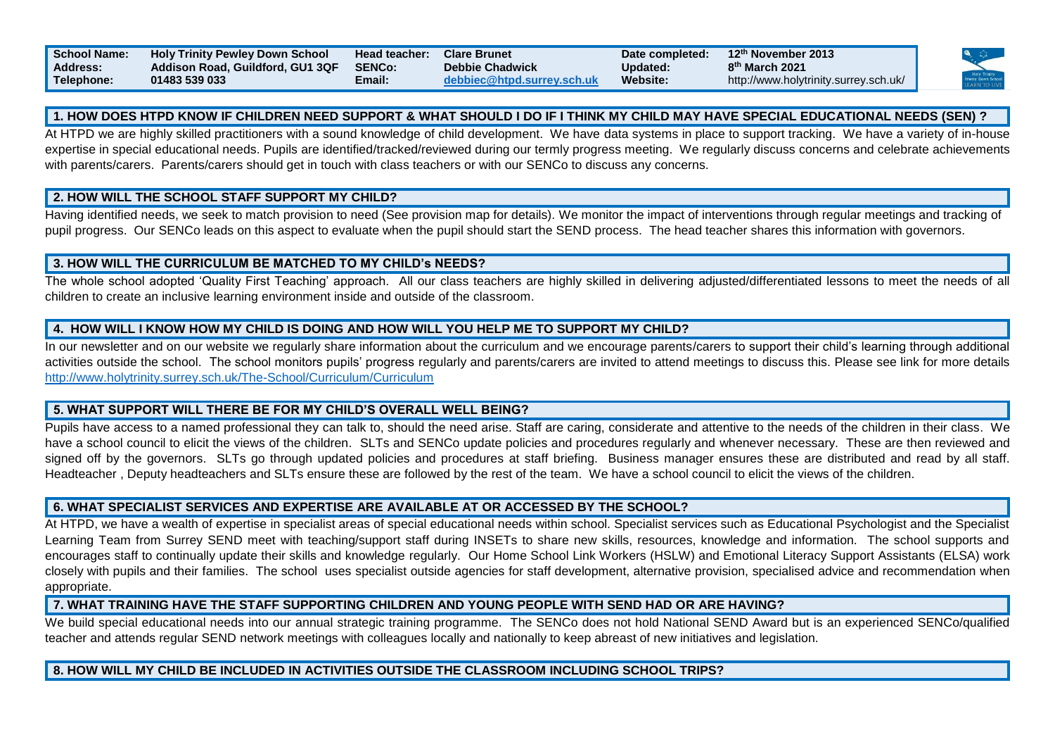| <b>School Name:</b> | <b>Holy Trinity Pewley Down School</b> | <b>Head teacher:</b> | <b>Clare Brunet</b>       | Date completed: | 12th November 2013                    |  |
|---------------------|----------------------------------------|----------------------|---------------------------|-----------------|---------------------------------------|--|
| <b>Address:</b>     | Addison Road, Guildford, GU1 3QF       | <b>SENCo:</b>        | <b>Debbie Chadwick</b>    | Updated:        | 8 <sup>th</sup> March 2021            |  |
| Telephone:          | 01483 539 033                          | Email:               | ebbiec@htpd.surrev.sch.uk | <b>Website:</b> | http://www.holytrinity.surrey.sch.uk/ |  |

### **1. HOW DOES HTPD KNOW IF CHILDREN NEED SUPPORT & WHAT SHOULD I DO IF I THINK MY CHILD MAY HAVE SPECIAL EDUCATIONAL NEEDS (SEN) ?**

At HTPD we are highly skilled practitioners with a sound knowledge of child development. We have data systems in place to support tracking. We have a variety of in-house expertise in special educational needs. Pupils are identified/tracked/reviewed during our termly progress meeting. We regularly discuss concerns and celebrate achievements with parents/carers. Parents/carers should get in touch with class teachers or with our SENCo to discuss any concerns.

### **2. HOW WILL THE SCHOOL STAFF SUPPORT MY CHILD?**

Having identified needs, we seek to match provision to need (See provision map for details). We monitor the impact of interventions through regular meetings and tracking of pupil progress. Our SENCo leads on this aspect to evaluate when the pupil should start the SEND process. The head teacher shares this information with governors.

### **3. HOW WILL THE CURRICULUM BE MATCHED TO MY CHILD's NEEDS?**

The whole school adopted 'Quality First Teaching' approach. All our class teachers are highly skilled in delivering adjusted/differentiated lessons to meet the needs of all children to create an inclusive learning environment inside and outside of the classroom.

## **4. HOW WILL I KNOW HOW MY CHILD IS DOING AND HOW WILL YOU HELP ME TO SUPPORT MY CHILD?**

In our newsletter and on our website we regularly share information about the curriculum and we encourage parents/carers to support their child's learning through additional activities outside the school. The school monitors pupils' progress regularly and parents/carers are invited to attend meetings to discuss this. Please see link for more details <http://www.holytrinity.surrey.sch.uk/The-School/Curriculum/Curriculum>

#### **5. WHAT SUPPORT WILL THERE BE FOR MY CHILD'S OVERALL WELL BEING?**

Pupils have access to a named professional they can talk to, should the need arise. Staff are caring, considerate and attentive to the needs of the children in their class. We have a school council to elicit the views of the children. SLTs and SENCo update policies and procedures regularly and whenever necessary. These are then reviewed and signed off by the governors. SLTs go through updated policies and procedures at staff briefing. Business manager ensures these are distributed and read by all staff. Headteacher , Deputy headteachers and SLTs ensure these are followed by the rest of the team. We have a school council to elicit the views of the children.

## **6. WHAT SPECIALIST SERVICES AND EXPERTISE ARE AVAILABLE AT OR ACCESSED BY THE SCHOOL?**

At HTPD, we have a wealth of expertise in specialist areas of special educational needs within school. Specialist services such as Educational Psychologist and the Specialist Learning Team from Surrey SEND meet with teaching/support staff during INSETs to share new skills, resources, knowledge and information. The school supports and encourages staff to continually update their skills and knowledge regularly. Our Home School Link Workers (HSLW) and Emotional Literacy Support Assistants (ELSA) work closely with pupils and their families. The school uses specialist outside agencies for staff development, alternative provision, specialised advice and recommendation when appropriate.

# **7. WHAT TRAINING HAVE THE STAFF SUPPORTING CHILDREN AND YOUNG PEOPLE WITH SEND HAD OR ARE HAVING?**

We build special educational needs into our annual strategic training programme. The SENCo does not hold National SEND Award but is an experienced SENCo/qualified teacher and attends regular SEND network meetings with colleagues locally and nationally to keep abreast of new initiatives and legislation.

## **8. HOW WILL MY CHILD BE INCLUDED IN ACTIVITIES OUTSIDE THE CLASSROOM INCLUDING SCHOOL TRIPS?**